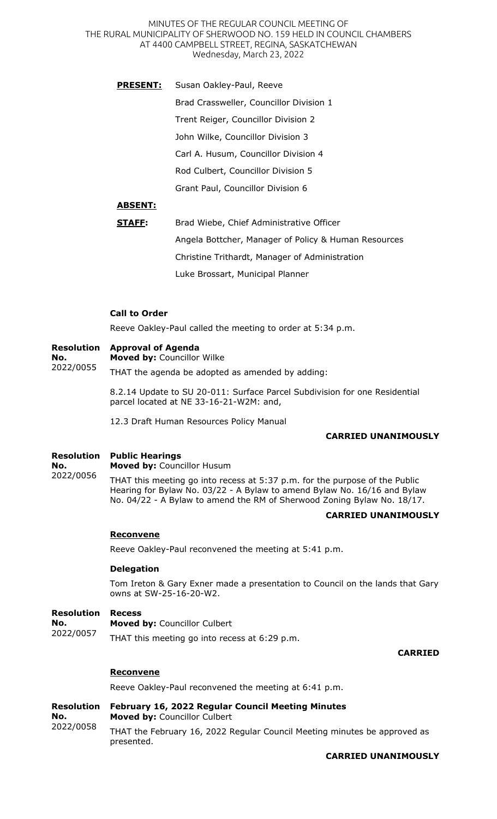**PRESENT:** Susan Oakley-Paul, Reeve Brad Crassweller, Councillor Division 1 Trent Reiger, Councillor Division 2 John Wilke, Councillor Division 3 Carl A. Husum, Councillor Division 4 Rod Culbert, Councillor Division 5 Grant Paul, Councillor Division 6

# **ABSENT:**

| STAFF: | Brad Wiebe, Chief Administrative Officer             |
|--------|------------------------------------------------------|
|        | Angela Bottcher, Manager of Policy & Human Resources |
|        | Christine Trithardt, Manager of Administration       |
|        | Luke Brossart, Municipal Planner                     |

# **Call to Order**

Reeve Oakley-Paul called the meeting to order at 5:34 p.m.

#### **Resolution Approval of Agenda**

**Moved by:** Councillor Wilke

2022/0055 THAT the agenda be adopted as amended by adding:

> 8.2.14 Update to SU 20-011: Surface Parcel Subdivision for one Residential parcel located at NE 33-16-21-W2M: and,

12.3 Draft Human Resources Policy Manual

## **CARRIED UNANIMOUSLY**

#### **Resolution Public Hearings**

**No.**  2022/0056

**No.** 

**Moved by:** Councillor Husum

THAT this meeting go into recess at 5:37 p.m. for the purpose of the Public Hearing for Bylaw No. 03/22 - A Bylaw to amend Bylaw No. 16/16 and Bylaw No. 04/22 - A Bylaw to amend the RM of Sherwood Zoning Bylaw No. 18/17.

## **CARRIED UNANIMOUSLY**

## **Reconvene**

Reeve Oakley-Paul reconvened the meeting at 5:41 p.m.

### **Delegation**

Tom Ireton & Gary Exner made a presentation to Council on the lands that Gary owns at SW-25-16-20-W2.

#### **Resolution Recess**

**No.**  2022/0057 **Moved by:** Councillor Culbert THAT this meeting go into recess at 6:29 p.m.

## **CARRIED**

# **Reconvene**

Reeve Oakley-Paul reconvened the meeting at 6:41 p.m.

**Resolution No.**  2022/0058 **February 16, 2022 Regular Council Meeting Minutes Moved by:** Councillor Culbert THAT the February 16, 2022 Regular Council Meeting minutes be approved as presented.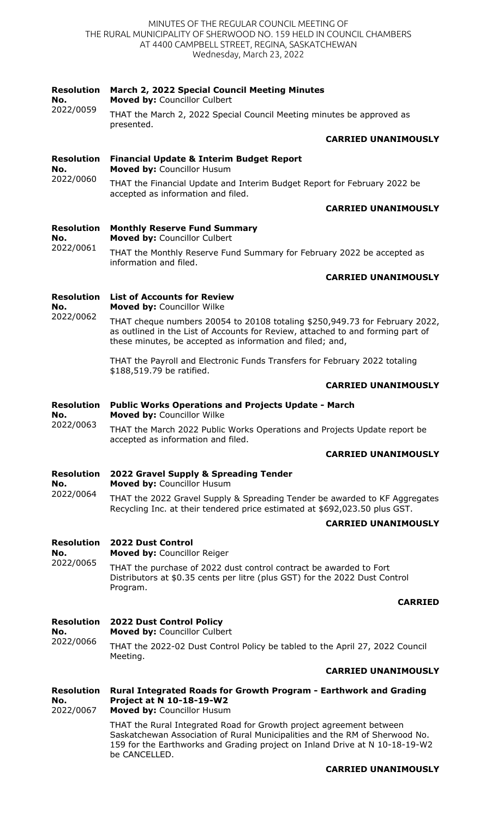| <b>Resolution</b><br>No.              | March 2, 2022 Special Council Meeting Minutes<br>Moved by: Councillor Culbert                                                                                                                                                                      |
|---------------------------------------|----------------------------------------------------------------------------------------------------------------------------------------------------------------------------------------------------------------------------------------------------|
| 2022/0059                             | THAT the March 2, 2022 Special Council Meeting minutes be approved as<br>presented.                                                                                                                                                                |
|                                       | <b>CARRIED UNANIMOUSLY</b>                                                                                                                                                                                                                         |
| <b>Resolution</b><br>No.<br>2022/0060 | <b>Financial Update &amp; Interim Budget Report</b><br>Moved by: Councillor Husum                                                                                                                                                                  |
|                                       | THAT the Financial Update and Interim Budget Report for February 2022 be<br>accepted as information and filed.                                                                                                                                     |
|                                       | <b>CARRIED UNANIMOUSLY</b>                                                                                                                                                                                                                         |
| <b>Resolution</b><br>No.<br>2022/0061 | <b>Monthly Reserve Fund Summary</b><br>Moved by: Councillor Culbert                                                                                                                                                                                |
|                                       | THAT the Monthly Reserve Fund Summary for February 2022 be accepted as<br>information and filed.                                                                                                                                                   |
|                                       | <b>CARRIED UNANIMOUSLY</b>                                                                                                                                                                                                                         |
| <b>Resolution</b><br>No.              | <b>List of Accounts for Review</b><br>Moved by: Councillor Wilke                                                                                                                                                                                   |
| 2022/0062                             | THAT cheque numbers 20054 to 20108 totaling \$250,949.73 for February 2022,<br>as outlined in the List of Accounts for Review, attached to and forming part of<br>these minutes, be accepted as information and filed; and,                        |
|                                       | THAT the Payroll and Electronic Funds Transfers for February 2022 totaling<br>\$188,519.79 be ratified.                                                                                                                                            |
|                                       | <b>CARRIED UNANIMOUSLY</b>                                                                                                                                                                                                                         |
| <b>Resolution</b><br>No.              | <b>Public Works Operations and Projects Update - March</b><br>Moved by: Councillor Wilke                                                                                                                                                           |
| 2022/0063                             | THAT the March 2022 Public Works Operations and Projects Update report be<br>accepted as information and filed.                                                                                                                                    |
|                                       | <b>CARRIED UNANIMOUSLY</b>                                                                                                                                                                                                                         |
| <b>Resolution</b><br>No.              | 2022 Gravel Supply & Spreading Tender<br>Moved by: Councillor Husum                                                                                                                                                                                |
| 2022/0064                             | THAT the 2022 Gravel Supply & Spreading Tender be awarded to KF Aggregates<br>Recycling Inc. at their tendered price estimated at \$692,023.50 plus GST.                                                                                           |
|                                       | <b>CARRIED UNANIMOUSLY</b>                                                                                                                                                                                                                         |
| <b>Resolution</b><br>No.              | <b>2022 Dust Control</b><br>Moved by: Councillor Reiger                                                                                                                                                                                            |
| 2022/0065                             | THAT the purchase of 2022 dust control contract be awarded to Fort<br>Distributors at \$0.35 cents per litre (plus GST) for the 2022 Dust Control<br>Program.                                                                                      |
|                                       | <b>CARRIED</b>                                                                                                                                                                                                                                     |
| <b>Resolution</b><br>No.<br>2022/0066 | <b>2022 Dust Control Policy</b><br>Moved by: Councillor Culbert                                                                                                                                                                                    |
|                                       | THAT the 2022-02 Dust Control Policy be tabled to the April 27, 2022 Council<br>Meeting.                                                                                                                                                           |
|                                       | <b>CARRIED UNANIMOUSLY</b>                                                                                                                                                                                                                         |
| <b>Resolution</b><br>No.<br>2022/0067 | Rural Integrated Roads for Growth Program - Earthwork and Grading<br><b>Project at N 10-18-19-W2</b><br>Moved by: Councillor Husum                                                                                                                 |
|                                       | THAT the Rural Integrated Road for Growth project agreement between<br>Saskatchewan Association of Rural Municipalities and the RM of Sherwood No.<br>159 for the Earthworks and Grading project on Inland Drive at N 10-18-19-W2<br>be CANCELLED. |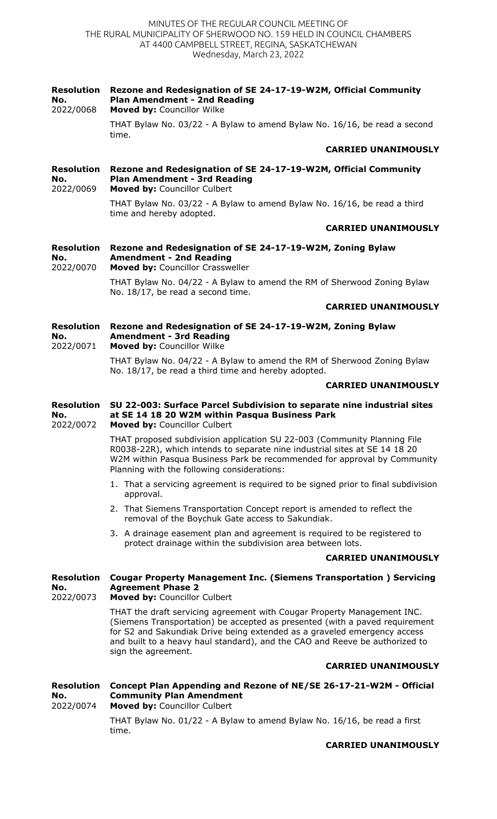### **Resolution No.**  2022/0068 **Rezone and Redesignation of SE 24-17-19-W2M, Official Community Plan Amendment - 2nd Reading Moved by:** Councillor Wilke THAT Bylaw No. 03/22 - A Bylaw to amend Bylaw No. 16/16, be read a second time. **CARRIED UNANIMOUSLY Resolution Rezone and Redesignation of SE 24-17-19-W2M, Official Community No.**  2022/0069 **Plan Amendment - 3rd Reading Moved by:** Councillor Culbert THAT Bylaw No. 03/22 - A Bylaw to amend Bylaw No. 16/16, be read a third time and hereby adopted. **CARRIED UNANIMOUSLY Resolution Rezone and Redesignation of SE 24-17-19-W2M, Zoning Bylaw No.**  2022/0070 **Amendment - 2nd Reading Moved by:** Councillor Crassweller THAT Bylaw No. 04/22 - A Bylaw to amend the RM of Sherwood Zoning Bylaw No. 18/17, be read a second time. **CARRIED UNANIMOUSLY Resolution No.**  2022/0071 **Rezone and Redesignation of SE 24-17-19-W2M, Zoning Bylaw Amendment - 3rd Reading Moved by:** Councillor Wilke THAT Bylaw No. 04/22 - A Bylaw to amend the RM of Sherwood Zoning Bylaw No. 18/17, be read a third time and hereby adopted. **CARRIED UNANIMOUSLY Resolution SU 22-003: Surface Parcel Subdivision to separate nine industrial sites No.**  2022/0072 **at SE 14 18 20 W2M within Pasqua Business Park Moved by:** Councillor Culbert THAT proposed subdivision application SU 22-003 (Community Planning File R0038-22R), which intends to separate nine industrial sites at SE 14 18 20 W2M within Pasqua Business Park be recommended for approval by Community Planning with the following considerations: 1. That a servicing agreement is required to be signed prior to final subdivision approval. 2. That Siemens Transportation Concept report is amended to reflect the removal of the Boychuk Gate access to Sakundiak. 3. A drainage easement plan and agreement is required to be registered to protect drainage within the subdivision area between lots. **CARRIED UNANIMOUSLY Resolution Cougar Property Management Inc. (Siemens Transportation ) Servicing No.**  2022/0073 **Agreement Phase 2 Moved by:** Councillor Culbert THAT the draft servicing agreement with Cougar Property Management INC. (Siemens Transportation) be accepted as presented (with a paved requirement for S2 and Sakundiak Drive being extended as a graveled emergency access and built to a heavy haul standard), and the CAO and Reeve be authorized to sign the agreement. **CARRIED UNANIMOUSLY Resolution Concept Plan Appending and Rezone of NE/SE 26-17-21-W2M - Official No.**  2022/0074 **Community Plan Amendment Moved by:** Councillor Culbert THAT Bylaw No. 01/22 - A Bylaw to amend Bylaw No. 16/16, be read a first time.

**CARRIED UNANIMOUSLY**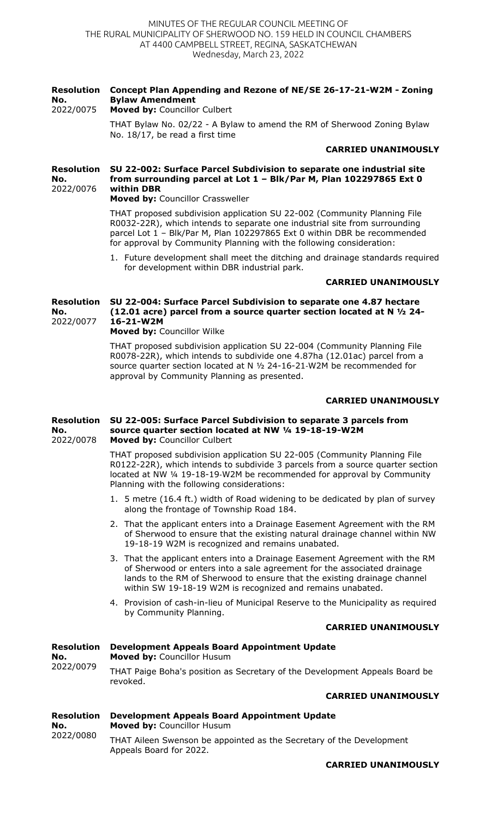#### **Resolution No.**  2022/0075 **Concept Plan Appending and Rezone of NE/SE 26-17-21-W2M - Zoning Bylaw Amendment Moved by:** Councillor Culbert

THAT Bylaw No. 02/22 - A Bylaw to amend the RM of Sherwood Zoning Bylaw No. 18/17, be read a first time

# **CARRIED UNANIMOUSLY**

### **Resolution SU 22-002: Surface Parcel Subdivision to separate one industrial site No.**  2022/0076 **from surrounding parcel at Lot 1 – Blk/Par M, Plan 102297865 Ext 0 within DBR**

**Moved by:** Councillor Crassweller

THAT proposed subdivision application SU 22-002 (Community Planning File R0032-22R), which intends to separate one industrial site from surrounding parcel Lot 1 – Blk/Par M, Plan 102297865 Ext 0 within DBR be recommended for approval by Community Planning with the following consideration:

1. Future development shall meet the ditching and drainage standards required for development within DBR industrial park.

# **CARRIED UNANIMOUSLY**

### **Resolution SU 22-004: Surface Parcel Subdivision to separate one 4.87 hectare No.**  2022/0077 **(12.01 acre) parcel from a source quarter section located at N ½ 24- 16-21-W2M**

**Moved by:** Councillor Wilke

THAT proposed subdivision application SU 22-004 (Community Planning File R0078-22R), which intends to subdivide one 4.87ha (12.01ac) parcel from a source quarter section located at N ½ 24-16-21-W2M be recommended for approval by Community Planning as presented.

# **CARRIED UNANIMOUSLY**

#### **Resolution No.**  2022/0078 **SU 22-005: Surface Parcel Subdivision to separate 3 parcels from source quarter section located at NW ¼ 19-18-19-W2M Moved by:** Councillor Culbert

THAT proposed subdivision application SU 22-005 (Community Planning File R0122-22R), which intends to subdivide 3 parcels from a source quarter section located at NW ¼ 19-18-19-W2M be recommended for approval by Community Planning with the following considerations:

- 1. 5 metre (16.4 ft.) width of Road widening to be dedicated by plan of survey along the frontage of Township Road 184.
- 2. That the applicant enters into a Drainage Easement Agreement with the RM of Sherwood to ensure that the existing natural drainage channel within NW 19-18-19 W2M is recognized and remains unabated.
- 3. That the applicant enters into a Drainage Easement Agreement with the RM of Sherwood or enters into a sale agreement for the associated drainage lands to the RM of Sherwood to ensure that the existing drainage channel within SW 19-18-19 W2M is recognized and remains unabated.
- 4. Provision of cash-in-lieu of Municipal Reserve to the Municipality as required by Community Planning.

# **CARRIED UNANIMOUSLY**

| <b>Resolution</b><br>No.<br>2022/0079          | <b>Development Appeals Board Appointment Update</b><br><b>Moved by: Councillor Husum</b> |  |
|------------------------------------------------|------------------------------------------------------------------------------------------|--|
|                                                | THAT Paige Boha's position as Secretary of the Development Appeals Board be<br>revoked.  |  |
|                                                | <b>CARRIED UNANIMOUSLY</b>                                                               |  |
| <b>Resolution</b><br>No.<br>nann <i>I</i> nnon | <b>Development Appeals Board Appointment Update</b><br><b>Moved by: Councillor Husum</b> |  |

2022/0080 THAT Aileen Swenson be appointed as the Secretary of the Development Appeals Board for 2022.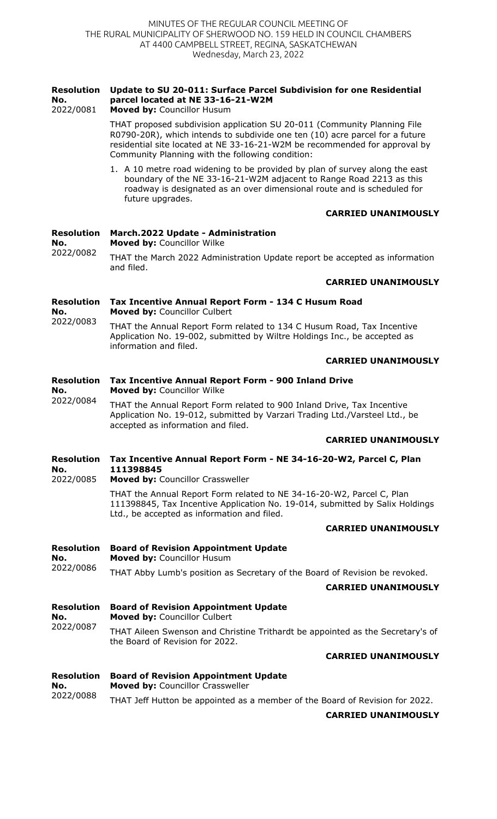| <b>Resolution</b><br>No.<br>2022/0081 | Update to SU 20-011: Surface Parcel Subdivision for one Residential<br>parcel located at NE 33-16-21-W2M<br>Moved by: Councillor Husum                                                                                                                                                     |  |  |
|---------------------------------------|--------------------------------------------------------------------------------------------------------------------------------------------------------------------------------------------------------------------------------------------------------------------------------------------|--|--|
|                                       | THAT proposed subdivision application SU 20-011 (Community Planning File<br>R0790-20R), which intends to subdivide one ten (10) acre parcel for a future<br>residential site located at NE 33-16-21-W2M be recommended for approval by<br>Community Planning with the following condition: |  |  |
|                                       | 1. A 10 metre road widening to be provided by plan of survey along the east<br>boundary of the NE 33-16-21-W2M adjacent to Range Road 2213 as this<br>roadway is designated as an over dimensional route and is scheduled for<br>future upgrades.                                          |  |  |
|                                       | <b>CARRIED UNANIMOUSLY</b>                                                                                                                                                                                                                                                                 |  |  |
| <b>Resolution</b><br>No.<br>2022/0082 | March.2022 Update - Administration<br>Moved by: Councillor Wilke                                                                                                                                                                                                                           |  |  |
|                                       | THAT the March 2022 Administration Update report be accepted as information<br>and filed.                                                                                                                                                                                                  |  |  |
|                                       | <b>CARRIED UNANIMOUSLY</b>                                                                                                                                                                                                                                                                 |  |  |
| <b>Resolution</b><br>No.              | Tax Incentive Annual Report Form - 134 C Husum Road<br>Moved by: Councillor Culbert                                                                                                                                                                                                        |  |  |
| 2022/0083                             | THAT the Annual Report Form related to 134 C Husum Road, Tax Incentive<br>Application No. 19-002, submitted by Wiltre Holdings Inc., be accepted as<br>information and filed.                                                                                                              |  |  |
|                                       | <b>CARRIED UNANIMOUSLY</b>                                                                                                                                                                                                                                                                 |  |  |
| <b>Resolution</b><br>No.<br>2022/0084 | Tax Incentive Annual Report Form - 900 Inland Drive<br>Moved by: Councillor Wilke                                                                                                                                                                                                          |  |  |
|                                       | THAT the Annual Report Form related to 900 Inland Drive, Tax Incentive<br>Application No. 19-012, submitted by Varzari Trading Ltd./Varsteel Ltd., be<br>accepted as information and filed.                                                                                                |  |  |
|                                       | <b>CARRIED UNANIMOUSLY</b>                                                                                                                                                                                                                                                                 |  |  |
| <b>Resolution</b><br>No.<br>2022/0085 | Tax Incentive Annual Report Form - NE 34-16-20-W2, Parcel C, Plan<br>111398845<br>Moved by: Councillor Crassweller                                                                                                                                                                         |  |  |
|                                       | THAT the Annual Report Form related to NE 34-16-20-W2, Parcel C, Plan<br>111398845, Tax Incentive Application No. 19-014, submitted by Salix Holdings<br>Ltd., be accepted as information and filed.                                                                                       |  |  |
|                                       | <b>CARRIED UNANIMOUSLY</b>                                                                                                                                                                                                                                                                 |  |  |
| <b>Resolution</b><br>No.<br>2022/0086 | <b>Board of Revision Appointment Update</b><br>Moved by: Councillor Husum                                                                                                                                                                                                                  |  |  |
|                                       | THAT Abby Lumb's position as Secretary of the Board of Revision be revoked.<br><b>CARRIED UNANIMOUSLY</b>                                                                                                                                                                                  |  |  |
| <b>Resolution</b><br>No.<br>2022/0087 | <b>Board of Revision Appointment Update</b><br>Moved by: Councillor Culbert                                                                                                                                                                                                                |  |  |
|                                       | THAT Aileen Swenson and Christine Trithardt be appointed as the Secretary's of<br>the Board of Revision for 2022.                                                                                                                                                                          |  |  |
|                                       | <b>CARRIED UNANIMOUSLY</b>                                                                                                                                                                                                                                                                 |  |  |
| <b>Resolution</b><br>No.<br>2022/0088 | <b>Board of Revision Appointment Update</b><br>Moved by: Councillor Crassweller                                                                                                                                                                                                            |  |  |
|                                       | THAT Jeff Hutton be appointed as a member of the Board of Revision for 2022.                                                                                                                                                                                                               |  |  |

**CARRIED UNANIMOUSLY**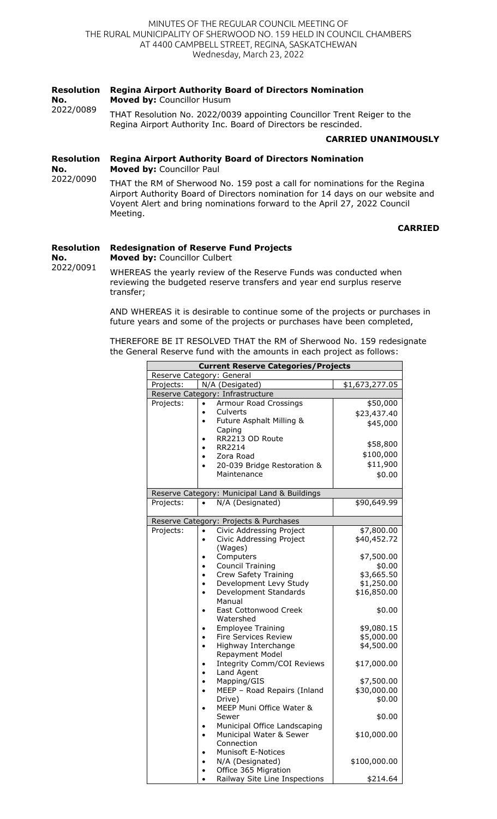#### **Resolution No. Regina Airport Authority Board of Directors Nomination Moved by:** Councillor Husum

2022/0089 THAT Resolution No. 2022/0039 appointing Councillor Trent Reiger to the Regina Airport Authority Inc. Board of Directors be rescinded.

# **CARRIED UNANIMOUSLY**

**Resolution No. Regina Airport Authority Board of Directors Nomination Moved by:** Councillor Paul

2022/0090 THAT the RM of Sherwood No. 159 post a call for nominations for the Regina Airport Authority Board of Directors nomination for 14 days on our website and Voyent Alert and bring nominations forward to the April 27, 2022 Council Meeting.

**CARRIED**

### **Resolution Redesignation of Reserve Fund Projects**

**No. Moved by:** Councillor Culbert

2022/0091 WHEREAS the yearly review of the Reserve Funds was conducted when reviewing the budgeted reserve transfers and year end surplus reserve transfer;

> AND WHEREAS it is desirable to continue some of the projects or purchases in future years and some of the projects or purchases have been completed,

THEREFORE BE IT RESOLVED THAT the RM of Sherwood No. 159 redesignate the General Reserve fund with the amounts in each project as follows:

| <b>Current Reserve Categories/Projects</b> |                                              |                |
|--------------------------------------------|----------------------------------------------|----------------|
|                                            | Reserve Category: General                    |                |
| Projects:                                  | N/A (Desigated)                              | \$1,673,277.05 |
|                                            | Reserve Category: Infrastructure             |                |
| Projects:                                  | <b>Armour Road Crossings</b><br>$\bullet$    | \$50,000       |
|                                            | Culverts                                     | \$23,437.40    |
|                                            | Future Asphalt Milling &                     | \$45,000       |
|                                            | Caping                                       |                |
|                                            | RR2213 OD Route                              |                |
|                                            | RR2214                                       | \$58,800       |
|                                            | Zora Road                                    | \$100,000      |
|                                            | 20-039 Bridge Restoration &                  | \$11,900       |
|                                            | Maintenance                                  | \$0.00         |
|                                            |                                              |                |
|                                            | Reserve Category: Municipal Land & Buildings |                |
| Projects:                                  | N/A (Designated)<br>$\bullet$                | \$90,649.99    |
|                                            |                                              |                |
|                                            | Reserve Category: Projects & Purchases       |                |
| Projects:                                  | Civic Addressing Project                     | \$7,800.00     |
|                                            | Civic Addressing Project                     | \$40,452.72    |
|                                            | (Wages)                                      |                |
|                                            | Computers                                    | \$7,500.00     |
|                                            | <b>Council Training</b>                      | \$0.00         |
|                                            | Crew Safety Training                         | \$3,665.50     |
|                                            | Development Levy Study                       | \$1,250.00     |
|                                            | Development Standards                        | \$16,850.00    |
|                                            | Manual                                       |                |
|                                            | <b>East Cottonwood Creek</b>                 | \$0.00         |
|                                            | Watershed                                    |                |
|                                            | <b>Employee Training</b>                     | \$9,080.15     |
|                                            | <b>Fire Services Review</b>                  | \$5,000.00     |
|                                            | Highway Interchange<br>$\bullet$             | \$4,500.00     |
|                                            | Repayment Model                              |                |
|                                            | <b>Integrity Comm/COI Reviews</b>            | \$17,000.00    |
|                                            | Land Agent<br>$\bullet$                      |                |
|                                            | Mapping/GIS<br>$\bullet$                     | \$7,500.00     |
|                                            | MEEP - Road Repairs (Inland                  | \$30,000.00    |
|                                            | Drive)                                       | \$0.00         |
|                                            | MEEP Muni Office Water &                     |                |
|                                            | Sewer                                        | \$0.00         |
|                                            | Municipal Office Landscaping                 |                |
|                                            | Municipal Water & Sewer                      | \$10,000.00    |
|                                            | Connection                                   |                |
|                                            | <b>Munisoft E-Notices</b>                    |                |
|                                            | N/A (Designated)                             | \$100,000.00   |
|                                            | Office 365 Migration                         |                |
|                                            | Railway Site Line Inspections                | \$214.64       |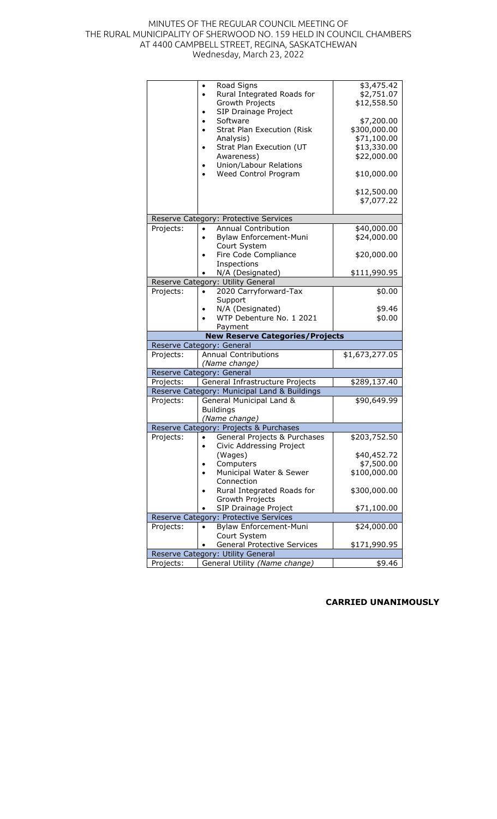|           | Road Signs                                         | \$3,475.42     |
|-----------|----------------------------------------------------|----------------|
|           | Rural Integrated Roads for<br>$\bullet$            | \$2,751.07     |
|           | Growth Projects                                    | \$12,558.50    |
|           | SIP Drainage Project                               |                |
|           | Software                                           | \$7,200.00     |
|           | <b>Strat Plan Execution (Risk</b>                  | \$300,000.00   |
|           | Analysis)                                          | \$71,100.00    |
|           | Strat Plan Execution (UT<br>$\bullet$              | \$13,330.00    |
|           | Awareness)                                         | \$22,000.00    |
|           | Union/Labour Relations                             |                |
|           | Weed Control Program                               | \$10,000.00    |
|           |                                                    |                |
|           |                                                    | \$12,500.00    |
|           |                                                    | \$7,077.22     |
|           | Reserve Category: Protective Services              |                |
| Projects: | Annual Contribution                                | \$40,000.00    |
|           | Bylaw Enforcement-Muni                             | \$24,000.00    |
|           | Court System                                       |                |
|           | Fire Code Compliance                               | \$20,000.00    |
|           | Inspections                                        |                |
|           | N/A (Designated)                                   | \$111,990.95   |
|           | Reserve Category: Utility General                  |                |
| Projects: | 2020 Carryforward-Tax                              | \$0.00         |
|           | Support                                            |                |
|           | N/A (Designated)                                   | \$9.46         |
|           | WTP Debenture No. 1 2021                           | \$0.00         |
|           | Payment                                            |                |
|           | <b>New Reserve Categories/Projects</b>             |                |
|           | Reserve Category: General                          |                |
| Projects: | <b>Annual Contributions</b>                        | \$1,673,277.05 |
|           | (Name change)                                      |                |
|           | Reserve Category: General                          |                |
| Projects: | General Infrastructure Projects                    | \$289,137.40   |
|           | Reserve Category: Municipal Land & Buildings       |                |
| Projects: | General Municipal Land &                           | \$90,649.99    |
|           | <b>Buildings</b>                                   |                |
|           | (Name change)                                      |                |
|           | Reserve Category: Projects & Purchases             |                |
| Projects: | General Projects & Purchases<br>$\bullet$          | \$203,752.50   |
|           | Civic Addressing Project                           |                |
|           | (Wages)                                            | \$40,452.72    |
|           | Computers                                          | \$7,500.00     |
|           | Municipal Water & Sewer                            | \$100,000.00   |
|           | Connection                                         |                |
|           | Rural Integrated Roads for                         | \$300,000.00   |
|           | Growth Projects                                    |                |
|           | SIP Drainage Project                               | \$71,100.00    |
|           | Reserve Category: Protective Services              |                |
| Projects: | Bylaw Enforcement-Muni<br>$\bullet$                | \$24,000.00    |
|           | Court System<br><b>General Protective Services</b> | \$171,990.95   |
|           | Reserve Category: Utility General                  |                |
|           | General Utility (Name change)                      | \$9.46         |
| Projects: |                                                    |                |

# **CARRIED UNANIMOUSLY**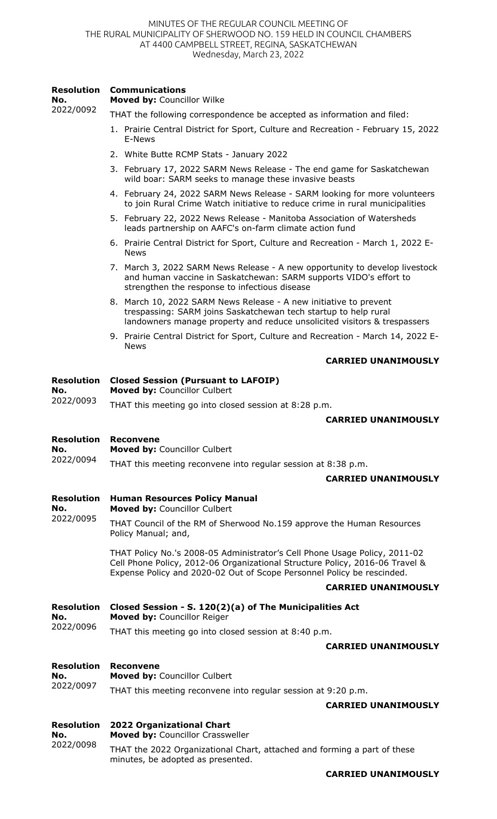### **Resolution No.**  2022/0092 **Communications Moved by:** Councillor Wilke THAT the following correspondence be accepted as information and filed:

- 1. Prairie Central District for Sport, Culture and Recreation February 15, 2022 E-News
- 2. White Butte RCMP Stats January 2022
- 3. February 17, 2022 SARM News Release The end game for Saskatchewan wild boar: SARM seeks to manage these invasive beasts
- 4. February 24, 2022 SARM News Release SARM looking for more volunteers to join Rural Crime Watch initiative to reduce crime in rural municipalities
- 5. February 22, 2022 News Release Manitoba Association of Watersheds leads partnership on AAFC's on-farm climate action fund
- 6. Prairie Central District for Sport, Culture and Recreation March 1, 2022 E-News
- 7. March 3, 2022 SARM News Release A new opportunity to develop livestock and human vaccine in Saskatchewan: SARM supports VIDO's effort to strengthen the response to infectious disease
- 8. March 10, 2022 SARM News Release A new initiative to prevent trespassing: SARM joins Saskatchewan tech startup to help rural landowners manage property and reduce unsolicited visitors & trespassers
- 9. Prairie Central District for Sport, Culture and Recreation March 14, 2022 E-News

# **CARRIED UNANIMOUSLY**

### **Resolution Closed Session (Pursuant to LAFOIP)**

**No. Moved by:** Councillor Culbert

2022/0093 THAT this meeting go into closed session at 8:28 p.m.

# **CARRIED UNANIMOUSLY**

#### **Resolution Reconvene**

**No. Moved by:** Councillor Culbert

2022/0094 THAT this meeting reconvene into regular session at 8:38 p.m.

## **CARRIED UNANIMOUSLY**

### **Resolution No. Human Resources Policy Manual**

2022/0095 **Moved by:** Councillor Culbert

THAT Council of the RM of Sherwood No.159 approve the Human Resources Policy Manual; and,

> THAT Policy No.'s 2008-05 Administrator's Cell Phone Usage Policy, 2011-02 Cell Phone Policy, 2012-06 Organizational Structure Policy, 2016-06 Travel & Expense Policy and 2020-02 Out of Scope Personnel Policy be rescinded.

## **CARRIED UNANIMOUSLY**

### **Resolution No.**  2022/0096 **Closed Session - S. 120(2)(a) of The Municipalities Act Moved by:** Councillor Reiger

THAT this meeting go into closed session at 8:40 p.m.

# **CARRIED UNANIMOUSLY**

### **Resolution Reconvene**

### **No.**  2022/0097 **Moved by:** Councillor Culbert THAT this meeting reconvene into regular session at 9:20 p.m.

# **CARRIED UNANIMOUSLY**

**Resolution No.**  2022/0098 **2022 Organizational Chart Moved by:** Councillor Crassweller THAT the 2022 Organizational Chart, attached and forming a part of these minutes, be adopted as presented.